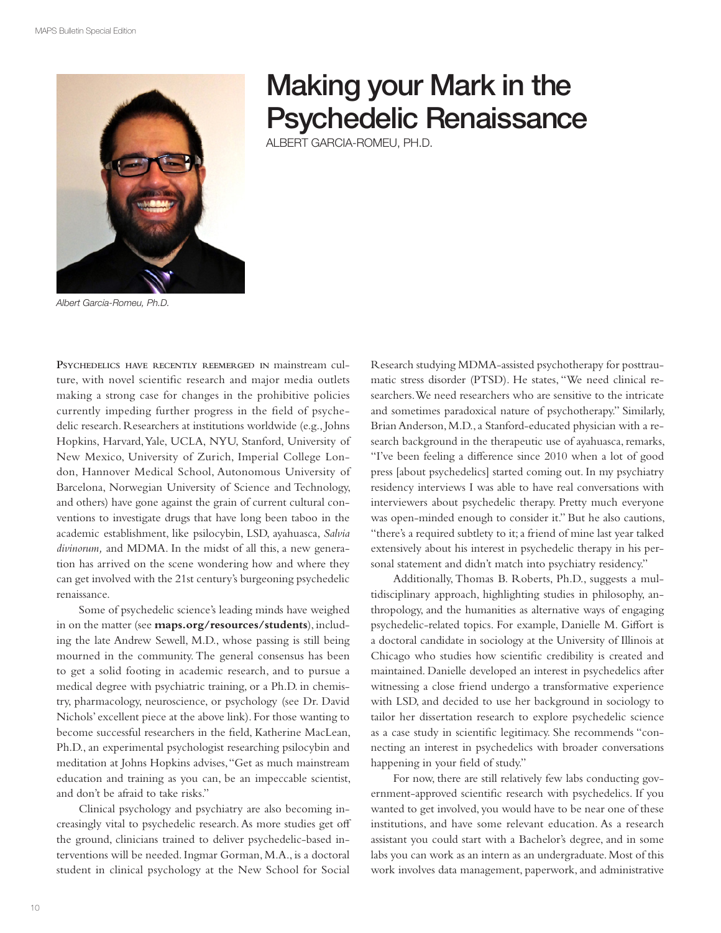

## Making your Mark in the Psychedelic Renaissance

ALBERT GARCIA-ROMEU, PH.D.

Albert Garcia-Romeu, Ph.D.

**PSYCHEDELICS HAVE RECENTLY REEMERGED IN** mainstream culture, with novel scientific research and major media outlets making a strong case for changes in the prohibitive policies currently impeding further progress in the field of psychedelic research. Researchers at institutions worldwide (e.g., Johns Hopkins, Harvard, Yale, UCLA, NYU, Stanford, University of New Mexico, University of Zurich, Imperial College London, Hannover Medical School, Autonomous University of Barcelona, Norwegian University of Science and Technology, and others) have gone against the grain of current cultural conventions to investigate drugs that have long been taboo in the academic establishment, like psilocybin, LSD, ayahuasca, *Salvia divinorum,* and MDMA. In the midst of all this, a new generation has arrived on the scene wondering how and where they can get involved with the 21st century's burgeoning psychedelic renaissance.

Some of psychedelic science's leading minds have weighed in on the matter (see **maps.org/resources/students**), including the late Andrew Sewell, M.D., whose passing is still being mourned in the community. The general consensus has been to get a solid footing in academic research, and to pursue a medical degree with psychiatric training, or a Ph.D. in chemistry, pharmacology, neuroscience, or psychology (see Dr. David Nichols' excellent piece at the above link). For those wanting to become successful researchers in the field, Katherine MacLean, Ph.D., an experimental psychologist researching psilocybin and meditation at Johns Hopkins advises, "Get as much mainstream education and training as you can, be an impeccable scientist, and don't be afraid to take risks."

Clinical psychology and psychiatry are also becoming increasingly vital to psychedelic research. As more studies get off the ground, clinicians trained to deliver psychedelic-based interventions will be needed. Ingmar Gorman, M.A., is a doctoral student in clinical psychology at the New School for Social

Research studying MDMA-assisted psychotherapy for posttraumatic stress disorder (PTSD). He states, "We need clinical researchers. We need researchers who are sensitive to the intricate and sometimes paradoxical nature of psychotherapy." Similarly, Brian Anderson, M.D., a Stanford-educated physician with a research background in the therapeutic use of ayahuasca, remarks, "I've been feeling a difference since 2010 when a lot of good press [about psychedelics] started coming out. In my psychiatry residency interviews I was able to have real conversations with interviewers about psychedelic therapy. Pretty much everyone was open-minded enough to consider it." But he also cautions, "there's a required subtlety to it; a friend of mine last year talked extensively about his interest in psychedelic therapy in his personal statement and didn't match into psychiatry residency."

Additionally, Thomas B. Roberts, Ph.D., suggests a multidisciplinary approach, highlighting studies in philosophy, anthropology, and the humanities as alternative ways of engaging psychedelic-related topics. For example, Danielle M. Giffort is a doctoral candidate in sociology at the University of Illinois at Chicago who studies how scientific credibility is created and maintained. Danielle developed an interest in psychedelics after witnessing a close friend undergo a transformative experience with LSD, and decided to use her background in sociology to tailor her dissertation research to explore psychedelic science as a case study in scientific legitimacy. She recommends "connecting an interest in psychedelics with broader conversations happening in your field of study."

For now, there are still relatively few labs conducting government-approved scientific research with psychedelics. If you wanted to get involved, you would have to be near one of these institutions, and have some relevant education. As a research assistant you could start with a Bachelor's degree, and in some labs you can work as an intern as an undergraduate. Most of this work involves data management, paperwork, and administrative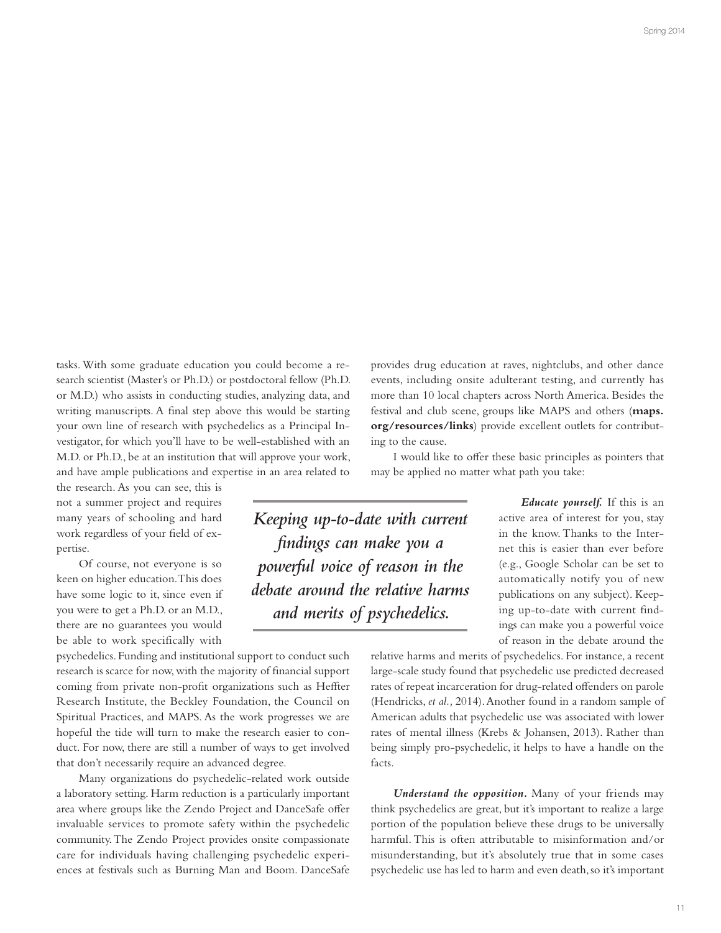tasks. With some graduate education you could become a research scientist (Master's or Ph.D.) or postdoctoral fellow (Ph.D. or M.D.) who assists in conducting studies, analyzing data, and writing manuscripts. A final step above this would be starting your own line of research with psychedelics as a Principal Investigator, for which you'll have to be well-established with an M.D. or Ph.D., be at an institution that will approve your work, and have ample publications and expertise in an area related to

the research. As you can see, this is not a summer project and requires many years of schooling and hard work regardless of your field of expertise.

Of course, not everyone is so keen on higher education. This does have some logic to it, since even if you were to get a Ph.D. or an M.D., there are no guarantees you would be able to work specifically with

psychedelics. Funding and institutional support to conduct such research is scarce for now, with the majority of financial support coming from private non-profit organizations such as Heffter Research Institute, the Beckley Foundation, the Council on Spiritual Practices, and MAPS. As the work progresses we are hopeful the tide will turn to make the research easier to conduct. For now, there are still a number of ways to get involved that don't necessarily require an advanced degree.

Many organizations do psychedelic-related work outside a laboratory setting. Harm reduction is a particularly important area where groups like the Zendo Project and DanceSafe offer invaluable services to promote safety within the psychedelic community. The Zendo Project provides onsite compassionate care for individuals having challenging psychedelic experiences at festivals such as Burning Man and Boom. DanceSafe provides drug education at raves, nightclubs, and other dance events, including onsite adulterant testing, and currently has more than 10 local chapters across North America. Besides the festival and club scene, groups like MAPS and others (**maps. org/resources/links**) provide excellent outlets for contributing to the cause.

I would like to offer these basic principles as pointers that may be applied no matter what path you take:

*Keeping up-to-date with current !ndings can make you a powerful voice of reason in the debate around the relative harms and merits of psychedelics.*

*Educate yourself.* If this is an active area of interest for you, stay in the know. Thanks to the Internet this is easier than ever before (e.g., Google Scholar can be set to automatically notify you of new publications on any subject). Keeping up-to-date with current findings can make you a powerful voice of reason in the debate around the

relative harms and merits of psychedelics. For instance, a recent large-scale study found that psychedelic use predicted decreased rates of repeat incarceration for drug-related offenders on parole (Hendricks, *et al.,* 2014). Another found in a random sample of American adults that psychedelic use was associated with lower rates of mental illness (Krebs & Johansen, 2013). Rather than being simply pro-psychedelic, it helps to have a handle on the facts.

*Understand the opposition.* Many of your friends may think psychedelics are great, but it's important to realize a large portion of the population believe these drugs to be universally harmful. This is often attributable to misinformation and/or misunderstanding, but it's absolutely true that in some cases psychedelic use has led to harm and even death, so it's important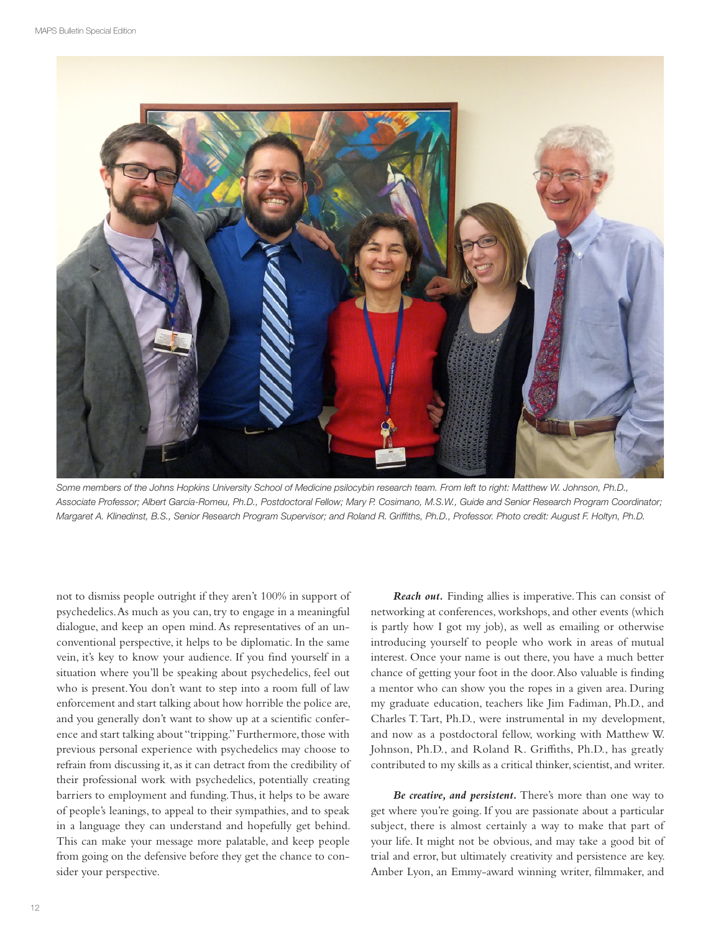

Some members of the Johns Hopkins University School of Medicine psilocybin research team. From left to right: Matthew W. Johnson, Ph.D., Associate Professor; Albert Garcia-Romeu, Ph.D., Postdoctoral Fellow; Mary P. Cosimano, M.S.W., Guide and Senior Research Program Coordinator; Margaret A. Klinedinst, B.S., Senior Research Program Supervisor; and Roland R. Griffiths, Ph.D., Professor. Photo credit: August F. Holtyn, Ph.D.

not to dismiss people outright if they aren't 100% in support of psychedelics. As much as you can, try to engage in a meaningful dialogue, and keep an open mind. As representatives of an unconventional perspective, it helps to be diplomatic. In the same vein, it's key to know your audience. If you find yourself in a situation where you'll be speaking about psychedelics, feel out who is present. You don't want to step into a room full of law enforcement and start talking about how horrible the police are, and you generally don't want to show up at a scientific conference and start talking about "tripping." Furthermore, those with previous personal experience with psychedelics may choose to refrain from discussing it, as it can detract from the credibility of their professional work with psychedelics, potentially creating barriers to employment and funding. Thus, it helps to be aware of people's leanings, to appeal to their sympathies, and to speak in a language they can understand and hopefully get behind. This can make your message more palatable, and keep people from going on the defensive before they get the chance to consider your perspective.

*Reach out.* Finding allies is imperative. This can consist of networking at conferences, workshops, and other events (which is partly how I got my job), as well as emailing or otherwise introducing yourself to people who work in areas of mutual interest. Once your name is out there, you have a much better chance of getting your foot in the door. Also valuable is finding a mentor who can show you the ropes in a given area. During my graduate education, teachers like Jim Fadiman, Ph.D., and Charles T. Tart, Ph.D., were instrumental in my development, and now as a postdoctoral fellow, working with Matthew W. Johnson, Ph.D., and Roland R. Griffiths, Ph.D., has greatly contributed to my skills as a critical thinker, scientist, and writer.

*Be creative, and persistent.* There's more than one way to get where you're going. If you are passionate about a particular subject, there is almost certainly a way to make that part of your life. It might not be obvious, and may take a good bit of trial and error, but ultimately creativity and persistence are key. Amber Lyon, an Emmy-award winning writer, filmmaker, and